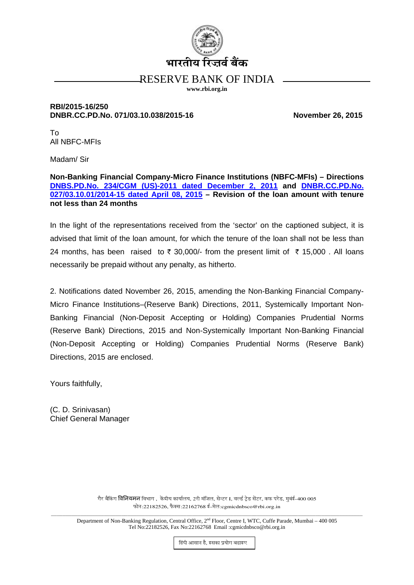

# RESERVE BANK OF INDIA

www.rbi.org.in

### RBI/2015-16/250 DNBR.CC.PD.No. 071/03.10.038/2015-16

**November 26, 2015** 

 $To$ All NBFC-MFIs

Madam/Sir

Non-Banking Financial Company-Micro Finance Institutions (NBFC-MFIs) - Directions DNBS.PD.No. 234/CGM (US)-2011 dated December 2, 2011 and DNBR.CC.PD.No. 027/03.10.01/2014-15 dated April 08, 2015 - Revision of the loan amount with tenure not less than 24 months

In the light of the representations received from the 'sector' on the captioned subject, it is advised that limit of the loan amount, for which the tenure of the loan shall not be less than 24 months, has been raised to ₹ 30,000/- from the present limit of ₹ 15,000. All loans necessarily be prepaid without any penalty, as hitherto.

2. Notifications dated November 26, 2015, amending the Non-Banking Financial Company-Micro Finance Institutions–(Reserve Bank) Directions, 2011, Systemically Important Non-Banking Financial (Non-Deposit Accepting or Holding) Companies Prudential Norms (Reserve Bank) Directions, 2015 and Non-Systemically Important Non-Banking Financial (Non-Deposit Accepting or Holding) Companies Prudential Norms (Reserve Bank) Directions, 2015 are enclosed.

Yours faithfully,

(C. D. Srinivasan) **Chief General Manager** 

> गैर बैकिंग **विनियमन** विभाग , केंद्रीय कार्यालय, 2री मंजिल, सेन्टर I, वर्ल्ड टेड सेंटर, कफ परेड, मुबंई-400 005 फोन:22182526, फैक्स:22162768 ई-मेल:cgmicdnbsco@rbi.org.in

Department of Non-Banking Regulation, Central Office, 2<sup>nd</sup> Floor, Centre I, WTC, Cuffe Parade, Mumbai - 400 005 Tel No:22182526, Fax No:22162768 Email :cgmicdnbsco@rbi.org.in

हिंदी आसान है, इसका प्रयोग बढाइए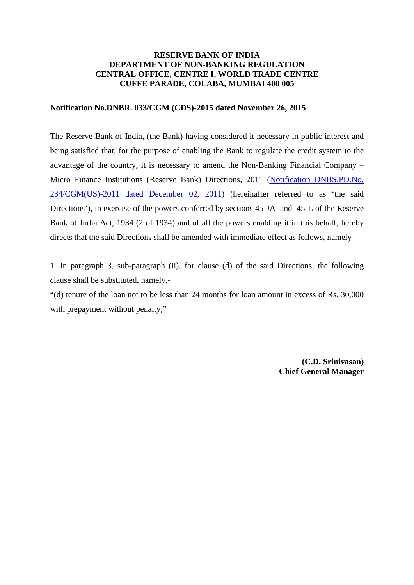# **RESERVE BANK OF INDIA DEPARTMENT OF NON-BANKING REGULATION CENTRAL OFFICE, CENTRE I, WORLD TRADE CENTRE CUFFE PARADE, COLABA, MUMBAI 400 005**

#### **Notification No.DNBR. 033/CGM (CDS)-2015 dated November 26, 2015**

The Reserve Bank of India, (the Bank) having considered it necessary in public interest and being satisfied that, for the purpose of enabling the Bank to regulate the credit system to the advantage of the country, it is necessary to amend the Non-Banking Financial Company – Micro Finance Institutions (Reserve Bank) Directions, 2011 [\(Notification DNBS.PD.No.](https://www.rbi.org.in/Scripts/NotificationUser.aspx?Id=6857&Mode=0#234) [234/CGM\(US\)-2011 dated December 02, 2011\)](https://www.rbi.org.in/Scripts/NotificationUser.aspx?Id=6857&Mode=0#234) (hereinafter referred to as 'the said Directions'), in exercise of the powers conferred by sections 45-JA and 45-L of the Reserve Bank of India Act, 1934 (2 of 1934) and of all the powers enabling it in this behalf, hereby directs that the said Directions shall be amended with immediate effect as follows, namely –

1. In paragraph 3, sub-paragraph (ii), for clause (d) of the said Directions, the following clause shall be substituted, namely,-

"(d) tenure of the loan not to be less than 24 months for loan amount in excess of Rs. 30,000 with prepayment without penalty;"

> **(C.D. Srinivasan) Chief General Manager**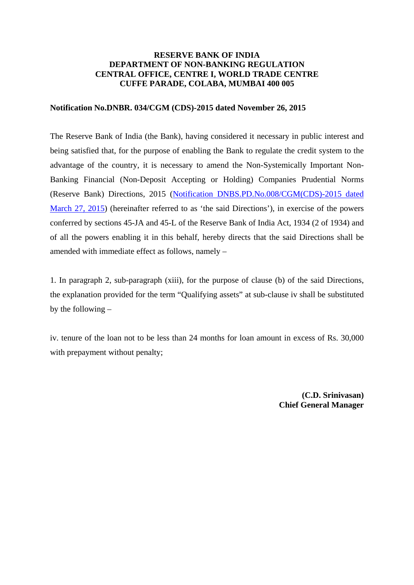# **RESERVE BANK OF INDIA DEPARTMENT OF NON-BANKING REGULATION CENTRAL OFFICE, CENTRE I, WORLD TRADE CENTRE CUFFE PARADE, COLABA, MUMBAI 400 005**

#### **Notification No.DNBR. 034/CGM (CDS)-2015 dated November 26, 2015**

The Reserve Bank of India (the Bank), having considered it necessary in public interest and being satisfied that, for the purpose of enabling the Bank to regulate the credit system to the advantage of the country, it is necessary to amend the Non-Systemically Important Non-Banking Financial (Non-Deposit Accepting or Holding) Companies Prudential Norms (Reserve Bank) Directions, 2015 [\(Notification DNBS.PD.No.008/CGM\(CDS\)-2015 dated](https://rbidocs.rbi.org.in/rdocs/content/pdfs/PNNBFC200315.pdf)  [March 27, 2015\)](https://rbidocs.rbi.org.in/rdocs/content/pdfs/PNNBFC200315.pdf) (hereinafter referred to as 'the said Directions'), in exercise of the powers conferred by sections 45-JA and 45-L of the Reserve Bank of India Act, 1934 (2 of 1934) and of all the powers enabling it in this behalf, hereby directs that the said Directions shall be amended with immediate effect as follows, namely –

1. In paragraph 2, sub-paragraph (xiii), for the purpose of clause (b) of the said Directions, the explanation provided for the term "Qualifying assets" at sub-clause iv shall be substituted by the following –

iv. tenure of the loan not to be less than 24 months for loan amount in excess of Rs. 30,000 with prepayment without penalty;

> **(C.D. Srinivasan) Chief General Manager**